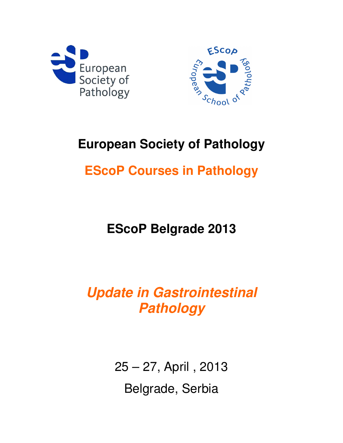



# **European Society of Pathology**

# **EScoP Courses in Pathology**

**EScoP Belgrade 2013** 

**Update in Gastrointestinal Pathology** 

> 25 – 27, April , 2013 Belgrade, Serbia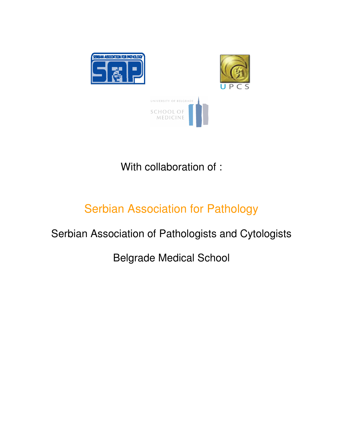

With collaboration of :

## Serbian Association for Pathology

## Serbian Association of Pathologists and Cytologists

Belgrade Medical School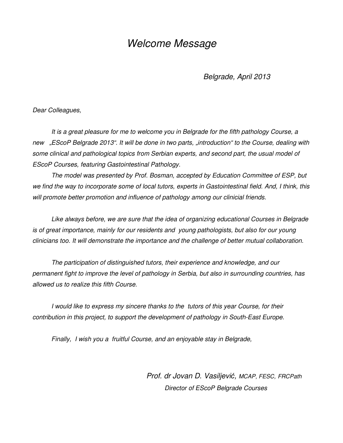#### Welcome Message

Belgrade, April 2013

Dear Colleagues,

It is a great pleasure for me to welcome you in Belgrade for the fifth pathology Course, a new "EScoP Belgrade 2013". It will be done in two parts, "introduction" to the Course, dealing with some clinical and pathological topics from Serbian experts, and second part, the usual model of EScoP Courses, featuring Gastointestinal Pathology.

 The model was presented by Prof. Bosman, accepted by Education Committee of ESP, but we find the way to incorporate some of local tutors, experts in Gastointestinal field. And, I think, this will promote better promotion and influence of pathology among our clinicial friends.

Like always before, we are sure that the idea of organizing educational Courses in Belgrade is of great importance, mainly for our residents and young pathologists, but also for our young clinicians too. It will demonstrate the importance and the challenge of better mutual collaboration.

The participation of distinguished tutors, their experience and knowledge, and our permanent fight to improve the level of pathology in Serbia, but also in surrounding countries, has allowed us to realize this fifth Course.

I would like to express my sincere thanks to the tutors of this year Course, for their contribution in this project, to support the development of pathology in South-East Europe.

Finally, I wish you a fruitful Course, and an enjoyable stay in Belgrade,

 Prof. dr Jovan D. Vasiljević, MCAP, FESC, FRCPath Director of EScoP Belgrade Courses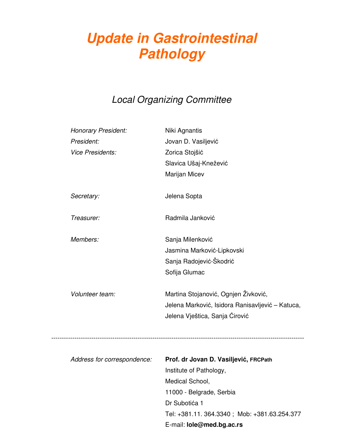# **Update in Gastrointestinal Pathology**

#### Local Organizing Committee

| <b>Honorary President:</b>  | Niki Agnantis                                    |
|-----------------------------|--------------------------------------------------|
| President:                  | Jovan D. Vasiljević                              |
| <b>Vice Presidents:</b>     | Zorica Stojšić                                   |
|                             | Slavica Ušaj-Knežević                            |
|                             | Marijan Micev                                    |
| Secretary:                  | Jelena Sopta                                     |
| Treasurer:                  | Radmila Janković                                 |
| Members:                    | Sanja Milenković                                 |
|                             | Jasmina Marković-Lipkovski                       |
|                             | Sanja Radojević-Škodrić                          |
|                             | Sofija Glumac                                    |
| Volunteer team:             | Martina Stojanović, Ognjen Živković,             |
|                             | Jelena Marković, Isidora Ranisavljević - Katuca, |
|                             | Jelena Vještica, Sanja Ćirović                   |
|                             |                                                  |
| Address for correspondence: | Prof. dr Jovan D. Vasiljević, FRCPath            |
|                             | Institute of Pathology,                          |
|                             | Medical School,                                  |
|                             | 11000 - Belgrade, Serbia                         |
|                             | Dr Subotića 1                                    |
|                             | Tel: +381.11. 364.3340; Mob: +381.63.254.377     |
|                             | E-mail: lole@med.bg.ac.rs                        |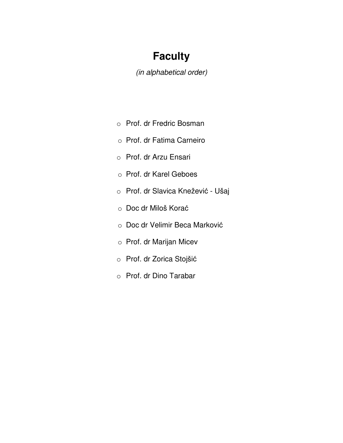### **Faculty**

(in alphabetical order)

- o Prof. dr Fredric Bosman
- o Prof. dr Fatima Carneiro
- o Prof. dr Arzu Ensari
- o Prof. dr Karel Geboes
- o Prof. dr Slavica Knežević Ušaj
- o Doc dr Miloš Korać
- o Doc dr Velimir Beca Marković
- o Prof. dr Marijan Micev
- o Prof. dr Zorica Stojšić
- o Prof. dr Dino Tarabar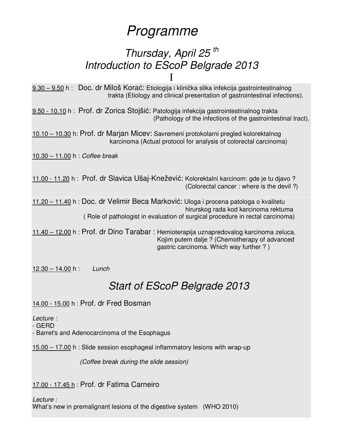## Programme

### Thursday, April 25<sup>th</sup> Introduction to EScoP Belgrade 2013 I

9.30 – 9.50 h : Doc. dr Miloš Korać: Etiologija i klinička slika infekcija gastrointestinalnog trakta (Etiology and clinical presentation of gastrointestinal infections).

9.50 - 10.10 h : Prof. dr Zorica Stojšić: Patologija infekcija gastrointestinalnog trakta (Pathology of the infections of the gastrointestinal tract).

10.10 – 10.30 h: Prof. dr Marjan Micev: Savremeni protokolarni pregled kolorektalnog karcinoma (Actual protocol for analysis of colorectal carcinoma)

10.30 – 11.00 h : Coffee break

11.00 - 11.20 h : Prof. dr Slavica Ušaj-Knežević: Kolorektalni karcinom: gde je tu djavo ? (Colorectal cancer : where is the devil ?)

11.20 – 11.40 h : Doc. dr Velimir Beca Marković: Uloga i procena patologa o kvalitetu hirurskog rada kod karcinoma rektuma ( Role of pathologist in evaluation of surgical procedure in rectal carcinoma)

11.40 – 12.00 h : Prof. dr Dino Tarabar : Hemioterapija uznapredovalog karcinoma zeluca. Kojim putem dalje ? (Chemotherapy of advanced gastric carcinoma. Which way further ? )

 $12.30 - 14.00 h$ : Lunch

### Start of EScoP Belgrade 2013

14.00 - 15.00 h : Prof. dr Fred Bosman

Lecture :

- GERD

- Barret's and Adenocarcinoma of the Esophagus

15.00 – 17.00 h : Slide session esophageal inflammatory lesions with wrap-up

(Coffee break during the slide session)

17.00 - 17.45 h : Prof. dr Fatima Carneiro

Lecture :

What's new in premalignant lesions of the digestive system (WHO 2010)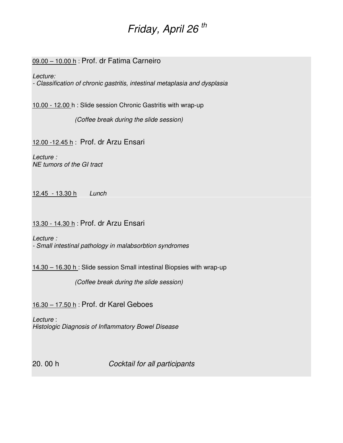## Friday, April 26<sup>th</sup>

#### 09.00 - 10.00 h : Prof. dr Fatima Carneiro

Lecture:

- Classification of chronic gastritis, intestinal metaplasia and dysplasia

10.00 - 12.00 h : Slide session Chronic Gastritis with wrap-up

(Coffee break during the slide session)

12.00 -12.45 h : Prof. dr Arzu Ensari

Lecture : NE tumors of the GI tract

12.45 - 13.30 h Lunch

13.30 - 14.30 h : Prof. dr Arzu Ensari

Lecture : - Small intestinal pathology in malabsorbtion syndromes

14.30 – 16.30 h : Slide session Small intestinal Biopsies with wrap-up

(Coffee break during the slide session)

16.30 – 17.50 h : Prof. dr Karel Geboes

Lecture : Histologic Diagnosis of Inflammatory Bowel Disease

20. 00 h Cocktail for all participants